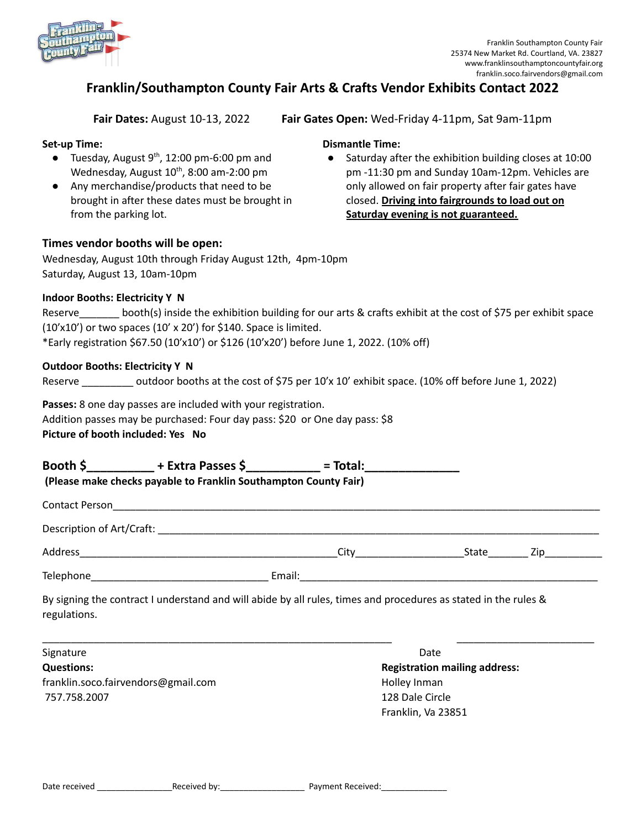

# **Franklin/Southampton County Fair Arts & Crafts Vendor Exhibits Contact 2022**

**Fair Dates:** August 10-13, 2022 **Fair Gates Open:** Wed-Friday 4-11pm, Sat 9am-11pm

### **Set-up Time:**

- $\bullet$  Tuesday, August 9<sup>th</sup>, 12:00 pm-6:00 pm and Wednesday, August  $10^{th}$ , 8:00 am-2:00 pm
- Any merchandise/products that need to be brought in after these dates must be brought in from the parking lot.

## **Dismantle Time:**

● Saturday after the exhibition building closes at 10:00 pm -11:30 pm and Sunday 10am-12pm. Vehicles are only allowed on fair property after fair gates have closed. **Driving into fairgrounds to load out on Saturday evening is not guaranteed.**

#### **Times vendor booths will be open:**

Wednesday, August 10th through Friday August 12th, 4pm-10pm Saturday, August 13, 10am-10pm

#### **Indoor Booths: Electricity Y N**

| Reserve | booth(s) inside the exhibition building for our arts & crafts exhibit at the cost of \$75 per exhibit space |
|---------|-------------------------------------------------------------------------------------------------------------|
|         | $(10'x10')$ or two spaces $(10' \times 20')$ for \$140. Space is limited.                                   |
|         | *Early registration \$67.50 (10'x10') or \$126 (10'x20') before June 1, 2022. (10% off)                     |

#### **Outdoor Booths: Electricity Y N**

Reserve **Lack outdoor booths at the cost of \$75 per 10'x 10' exhibit space. (10% off before June 1, 2022)** 

**Passes:** 8 one day passes are included with your registration. Addition passes may be purchased: Four day pass: \$20 or One day pass: \$8

**Picture of booth included: Yes No**

**Booth \$\_\_\_\_\_\_\_\_\_\_ + Extra Passes \$\_\_\_\_\_\_\_\_\_\_\_ = Total:\_\_\_\_\_\_\_\_\_\_\_\_\_\_ (Please make checks payable to Franklin Southampton County Fair)**

Contact Person\_\_\_\_\_\_\_\_\_\_\_\_\_\_\_\_\_\_\_\_\_\_\_\_\_\_\_\_\_\_\_\_\_\_\_\_\_\_\_\_\_\_\_\_\_\_\_\_\_\_\_\_\_\_\_\_\_\_\_\_\_\_\_\_\_\_\_\_\_\_\_\_\_\_\_\_\_\_\_\_\_\_\_\_\_

Description of Art/Craft: \_\_\_\_\_\_\_\_\_\_\_\_\_\_\_\_\_\_\_\_\_\_\_\_\_\_\_\_\_\_\_\_\_\_\_\_\_\_\_\_\_\_\_\_\_\_\_\_\_\_\_\_\_\_\_\_\_\_\_\_\_\_\_\_\_\_\_\_\_\_\_\_\_\_\_\_\_

Address\_\_\_\_\_\_\_\_\_\_\_\_\_\_\_\_\_\_\_\_\_\_\_\_\_\_\_\_\_\_\_\_\_\_\_\_\_\_\_\_\_\_\_\_\_City\_\_\_\_\_\_\_\_\_\_\_\_\_\_\_\_\_\_\_State\_\_\_\_\_\_\_ Zip\_\_\_\_\_\_\_\_\_\_

Telephone\_\_\_\_\_\_\_\_\_\_\_\_\_\_\_\_\_\_\_\_\_\_\_\_\_\_\_\_\_\_\_ Email:\_\_\_\_\_\_\_\_\_\_\_\_\_\_\_\_\_\_\_\_\_\_\_\_\_\_\_\_\_\_\_\_\_\_\_\_\_\_\_\_\_\_\_\_\_\_\_\_\_\_\_\_

By signing the contract I understand and will abide by all rules, times and procedures as stated in the rules & regulations.

| Signature                           | Date                                 |
|-------------------------------------|--------------------------------------|
| <b>Questions:</b>                   | <b>Registration mailing address:</b> |
| franklin.soco.fairvendors@gmail.com | Holley Inman                         |
| 757.758.2007                        | 128 Dale Circle                      |
|                                     | Franklin, Va 23851                   |